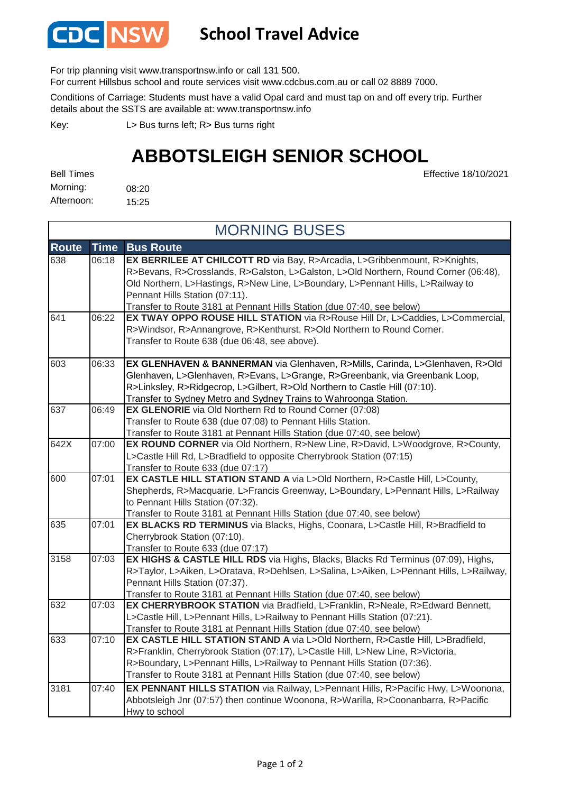

## **School Travel Advice**

For trip planning visit www.transportnsw.info or call 131 500.

For current Hillsbus school and route services visit www.cdcbus.com.au or call 02 8889 7000.

Conditions of Carriage: Students must have a valid Opal card and must tap on and off every trip. Further details about the SSTS are available at: www.transportnsw.info

L> Bus turns left; R> Bus turns right Key:

## **ABBOTSLEIGH SENIOR SCHOOL**

Effective 18/10/2021

08:20 15:25 Bell Times Morning: Afternoon:

**Route Time Bus Route** 638 06:18 **EX BERRILEE AT CHILCOTT RD** via Bay, R>Arcadia, L>Gribbenmount, R>Knights, R>Bevans, R>Crosslands, R>Galston, L>Galston, L>Old Northern, Round Corner (06:48), Old Northern, L>Hastings, R>New Line, L>Boundary, L>Pennant Hills, L>Railway to Pennant Hills Station (07:11). Transfer to Route 3181 at Pennant Hills Station (due 07:40, see below) 641 06:22 **EX TWAY OPPO ROUSE HILL STATION** via R>Rouse Hill Dr, L>Caddies, L>Commercial, R>Windsor, R>Annangrove, R>Kenthurst, R>Old Northern to Round Corner. Transfer to Route 638 (due 06:48, see above). 603 06:33 **EX GLENHAVEN & BANNERMAN** via Glenhaven, R>Mills, Carinda, L>Glenhaven, R>Old Glenhaven, L>Glenhaven, R>Evans, L>Grange, R>Greenbank, via Greenbank Loop, R>Linksley, R>Ridgecrop, L>Gilbert, R>Old Northern to Castle Hill (07:10). Transfer to Sydney Metro and Sydney Trains to Wahroonga Station. 637 06:49 **EX GLENORIE** via Old Northern Rd to Round Corner (07:08) Transfer to Route 638 (due 07:08) to Pennant Hills Station. Transfer to Route 3181 at Pennant Hills Station (due 07:40, see below) 642X 07:00 **EX ROUND CORNER** via Old Northern, R>New Line, R>David, L>Woodgrove, R>County, L>Castle Hill Rd, L>Bradfield to opposite Cherrybrook Station (07:15) Transfer to Route 633 (due 07:17) 600 07:01 **EX CASTLE HILL STATION STAND A** via L>Old Northern, R>Castle Hill, L>County, Shepherds, R>Macquarie, L>Francis Greenway, L>Boundary, L>Pennant Hills, L>Railway to Pennant Hills Station (07:32). Transfer to Route 3181 at Pennant Hills Station (due 07:40, see below) 635 07:01 **EX BLACKS RD TERMINUS** via Blacks, Highs, Coonara, L>Castle Hill, R>Bradfield to Cherrybrook Station (07:10). Transfer to Route 633 (due 07:17) 3158 07:03 **EX HIGHS & CASTLE HILL RDS** via Highs, Blacks, Blacks Rd Terminus (07:09), Highs, R>Taylor, L>Aiken, L>Oratava, R>Dehlsen, L>Salina, L>Aiken, L>Pennant Hills, L>Railway, Pennant Hills Station (07:37). Transfer to Route 3181 at Pennant Hills Station (due 07:40, see below) 632 07:03 **EX CHERRYBROOK STATION** via Bradfield, L>Franklin, R>Neale, R>Edward Bennett, L>Castle Hill, L>Pennant Hills, L>Railway to Pennant Hills Station (07:21). Transfer to Route 3181 at Pennant Hills Station (due 07:40, see below) 633 07:10 **EX CASTLE HILL STATION STAND A** via L>Old Northern, R>Castle Hill, L>Bradfield, R>Franklin, Cherrybrook Station (07:17), L>Castle Hill, L>New Line, R>Victoria, R>Boundary, L>Pennant Hills, L>Railway to Pennant Hills Station (07:36). Transfer to Route 3181 at Pennant Hills Station (due 07:40, see below) 3181 07:40 **EX PENNANT HILLS STATION** via Railway, L>Pennant Hills, R>Pacific Hwy, L>Woonona, Abbotsleigh Jnr (07:57) then continue Woonona, R>Warilla, R>Coonanbarra, R>Pacific Hwy to school MORNING BUSES